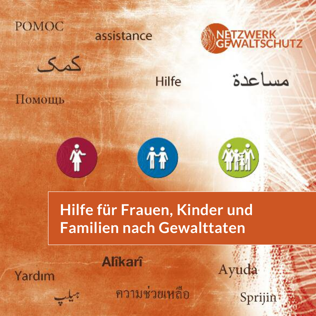

Помощь

## assistance





**Hilfe** 

# مساعدة



# **Hilfe für Frauen, Kinder und Familien nach Gewalttaten**

Yardım

ความช่วยเหลือ

**Alîkarî** 

Sprijin

Ayuda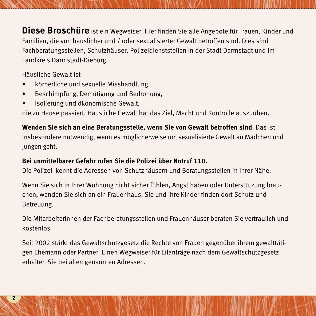**Diese Broschüre** ist ein Wegweiser. Hier finden Sie alle Angebote für Frauen, Kinder und Familien, die von häuslicher und / oder sexualisierter Gewalt betroffen sind. Dies sind Fachberatungsstellen, Schutzhäuser, Polizeidienststellen in der Stadt Darmstadt und im Landkreis Darmstadt-Dieburg.

**.........................................................................................................................................**

Häusliche Gewalt ist

- körperliche und sexuelle Misshandlung,
- Beschimpfung, Demütigung und Bedrohung,
- Isolierung und ökonomische Gewalt,

die zu Hause passiert. Häusliche Gewalt hat das Ziel, Macht und Kontrolle auszuüben.

**Wenden Sie sich an eine Beratungsstelle, wenn Sie von Gewalt betroffen sind**. Das ist insbesondere notwendig, wenn es möglicherweise um sexualisierte Gewalt an Mädchen und Jungen geht.

#### **Bei unmittelbarer Gefahr rufen Sie die Polizei über Notruf 110.**

Die Polizei kennt die Adressen von Schutzhäusern und Beratungsstellen in Ihrer Nähe.

Wenn Sie sich in Ihrer Wohnung nicht sicher fühlen, Angst haben oder Unterstützung brauchen, wenden Sie sich an ein Frauenhaus. Sie und Ihre Kinder finden dort Schutz und Betreuung.

Die Mitarbeiterinnen der Fachberatungsstellen und Frauenhäuser beraten Sie vertraulich und kostenlos.

Seit 2002 stärkt das Gewaltschutzgesetz die Rechte von Frauen gegenüber ihrem gewalttätigen Ehemann oder Partner. Einen Wegweiser für Eilanträge nach dem Gewaltschutzgesetz erhalten Sie bei allen genannten Adressen.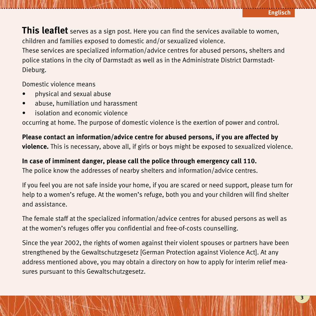**3**

**This leaflet** serves as a sign post. Here you can find the services available to women, children and families exposed to domestic and/or sexualized violence.

These services are specialized information/advice centres for abused persons, shelters and police stations in the city of Darmstadt as well as in the Administrate District Darmstadt-Dieburg.

Domestic violence means

- physical and sexual abuse
- abuse, humiliation und harassment
- isolation and economic violence

occurring at home. The purpose of domestic violence is the exertion of power and control.

**Please contact an information/advice centre for abused persons, if you are affected by violence.** This is necessary, above all, if girls or boys might be exposed to sexualized violence.

#### **In case of imminent danger, please call the police through emergency call 110.**

The police know the addresses of nearby shelters and information/advice centres.

If you feel you are not safe inside your home, if you are scared or need support, please turn for help to a women's refuge. At the women's refuge, both you and your children will find shelter and assistance.

The female staff at the specialized information/advice centres for abused persons as well as at the women's refuges offer you confidential and free-of-costs counselling.

Since the year 2002, the rights of women against their violent spouses or partners have been strengthened by the Gewaltschutzgesetz [German Protection against Violence Act]. At any address mentioned above, you may obtain a directory on how to apply for interim relief measures pursuant to this Gewaltschutzgesetz.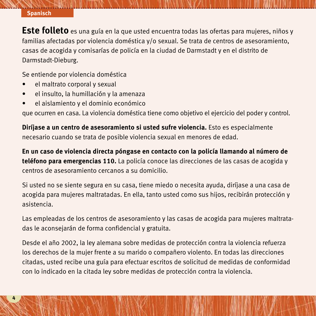#### **......................................................................................................................................... Spanisch**

**Este folleto** es una guía en la que usted encuentra todas las ofertas para mujeres, niños y familias afectadas por violencia doméstica y/o sexual. Se trata de centros de asesoramiento, casas de acogida y comisarías de policía en la ciudad de Darmstadt y en el distrito de Darmstadt-Dieburg.

Se entiende por violencia doméstica

- el maltrato corporal y sexual
- el insulto, la humillación y la amenaza
- el aislamiento y el dominio económico

que ocurren en casa. La violencia doméstica tiene como objetivo el ejercicio del poder y control.

**Diríjase a un centro de asesoramiento si usted sufre violencia.** Esto es especialmente necesario cuando se trata de posible violencia sexual en menores de edad.

**En un caso de violencia directa póngase en contacto con la policía llamando al número de teléfono para emergencias 110.** La policía conoce las direcciones de las casas de acogida y centros de asesoramiento cercanos a su domicilio.

Si usted no se siente segura en su casa, tiene miedo o necesita ayuda, diríjase a una casa de acogida para mujeres maltratadas. En ella, tanto usted como sus hijos, recibirán protección y asistencia.

Las empleadas de los centros de asesoramiento y las casas de acogida para mujeres maltratadas le aconsejarán de forma confidencial y gratuita.

Desde el año 2002, la ley alemana sobre medidas de protección contra la violencia refuerza los derechos de la mujer frente a su marido o compañero violento. En todas las direcciones citadas, usted recibe una guía para efectuar escritos de solicitud de medidas de conformidad con lo indicado en la citada ley sobre medidas de protección contra la violencia.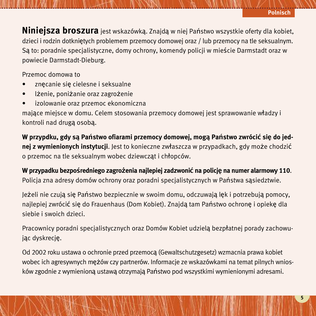**Niniejsza broszura** jest wskazówką. Znajdą w niej Państwo wszystkie oferty dla kobiet, dzieci i rodzin dotkniętych problemem przemocy domowej oraz / lub przemocy na tle seksualnym. Są to: poradnie specjalistyczne, domy ochrony, komendy policji w mieście Darmstadt oraz w powiecie Darmstadt-Dieburg.

Przemoc domowa to

- znęcanie się cielesne i seksualne
- lżenie, poniżanie oraz zagrożenie
- izolowanie oraz przemoc ekonomiczna

mające miejsce w domu. Celem stosowania przemocy domowej jest sprawowanie władzy i kontroli nad drugą osobą.

W przypdku, gdy są Państwo ofiarami przemocy domowej, mogą Państwo zwrócić się do jed**nej z wymienionych instytucji**. Jest to konieczne zwłaszcza w przypadkach, gdy może chodzić o przemoc na tle seksualnym wobec dziewcząt i chłopców.

**W przypadku bezpośredniego zagrożenia najlepiej zadzwonić na policję na numer alarmowy 110**. Policja zna adresy domów ochrony oraz poradni specjalistycznych w Państwa sąsiedztwie.

Jeżeli nie czują się Państwo bezpiecznie w swoim domu, odczuwają lęk i potrzebują pomocy, najlepiej zwrócić się do Frauenhaus (Dom Kobiet). Znajdą tam Państwo ochronę i opiekę dla siebie i swoich dzieci.

Pracownicy poradni specjalistycznych oraz Domów Kobiet udzielą bezpłatnej porady zachowując dyskrecję.

Od 2002 roku ustawa o ochronie przed przemocą (Gewaltschutzgesetz) wzmacnia prawa kobiet wobec ich agresywnych mężów czy partnerów. Informacje ze wskazówkami na temat pilnych wniosków zgodnie z wymienioną ustawą otrzymają Państwo pod wszystkimi wymienionymi adresami.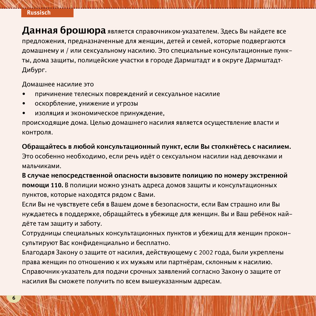## **......................................................................................................................................... Russisch**

**Данная брошюра** является справочником-указателем. Здесь Вы найдете все предложения, предназначенные для женщин, детей и семей, которые подвергаются домашнему и / или сексуальному насилию. Это специальные консультационные пункты, дома защиты, полицейские участки в городе Дармштадт и в округе Дармштадт-Дибург.

Домашнее насилие это

- причинение телесных повреждений и сексуальное насилие
- оскорбление, унижение и угрозы
- изоляция и экономическое принуждение,

происходящие дома. Целью домашнего насилия является осуществление власти и контроля.

**Обращайтесь в любой консультационный пункт, если Вы столкнётесь с насилием.**

Это особенно необходимо, если речь идёт о сексуальном насилии над девочками и мальчиками.

**В случае непосредственной опасности вызовите полицию по номеру экстренной помощи 110.** В полиции можно узнать адреса домов защиты и консультационных пунктов, которые находятся рядом с Вами.

Если Вы не чувствуете себя в Вашем доме в безопасности, если Вам страшно или Вы нуждаетесь в поддержке, обращайтесь в убежище для женщин. Вы и Ваш ребёнок найдёте там защиту и заботу.

Сотрудницы специальных консультационных пунктов и убежищ для женщин проконсультируют Вас конфиденциально и бесплатно.

Благодаря Закону о защите от насилия, действующему с 2002 года, были укреплены права женщин по отношению к их мужьям или партнёрам, склонным к насилию. Справочник-указатель для подачи срочных заявлений согласно Закону о защите от насилия Вы сможете получить по всем вышеуказанным адресам.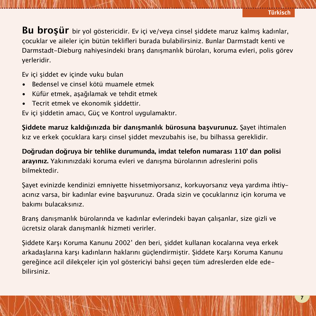**7**

**Bu broşür** bir yol göstericidir. Ev içi ve/veya cinsel şiddete maruz kalmış kadınlar, çocuklar ve aileler için bütün teklifleri burada bulabilirsiniz. Bunlar Darmstadt kenti ve Darmstadt-Dieburg nahiyesindeki branş danışmanlık büroları, koruma evleri, polis görev yerleridir.

Ev içi şiddet ev içinde vuku bulan

- Bedensel ve cinsel kötü muamele etmek
- Küfür etmek, aşağılamak ve tehdit etmek
- Tecrit etmek ve ekonomik şiddettir.

Ev içi şiddetin amacı, Güç ve Kontrol uygulamaktır.

**Şiddete maruz kaldığınızda bir danışmanlık bürosuna başvurunuz.** Şayet ihtimalen kız ve erkek çocuklara karşı cinsel şiddet mevzubahis ise, bu bilhassa gereklidir.

**Doğrudan doğruya bir tehlike durumunda, imdat telefon numarası 110' dan polisi arayınız.** Yakınınızdaki koruma evleri ve danışma bürolarının adreslerini polis bilmektedir.

Şayet evinizde kendinizi emniyette hissetmiyorsanız, korkuyorsanız veya yardıma ihtiyacınız varsa, bir kadınlar evine başvurunuz. Orada sizin ve çocuklarınız için koruma ve bakımı bulacaksınız.

Branş danışmanlık bürolarında ve kadınlar evlerindeki bayan çalışanlar, size gizli ve ücretsiz olarak danışmanlık hizmeti verirler.

Şiddete Karşı Koruma Kanunu 2002' den beri, şiddet kullanan kocalarına veya erkek arkadaşlarına karşı kadınların haklarını güçlendirmiştir. Şiddete Karşı Koruma Kanunu gereğince acil dilekçeler için yol göstericiyi bahsi geçen tüm adreslerden elde edebilirsiniz.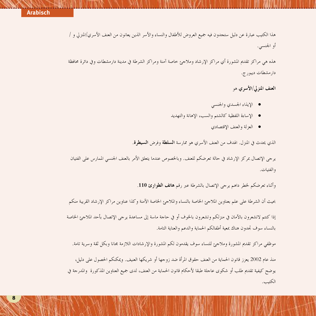## **......................................................................................................................................... Arabisch**

هذا الكتيب عبارة عن دليل ستحدون فيه جميع العروض للأطفال والنساء والأسر الذين يعانون من العنف الأسري/المنزلي و / أو الجنسين

هذه هي مراكز تقليم المشورة أي مراكز الارشاد وملاحرم خاصة آمنة ومراكز الشرطة في مدينة دارمشطات وفي دائرة محافظة دا, مشطات ديبو, ج.

ا**لعنف المن**غ لي/الأسبري هو

- الايذاء الجسدي والجنسي
- الإساءة اللفظية كالشتم والسب، الإهانة والتهديد
	- العزلة والعنف الإقتصادي

الذي يحدث في المنزل. الهدف من العنف الأسري هو ممارسة **السلطة** وفرض **السيطرة**.

يوجي الإتصال بمركز الإرشاد في حالة تعرضكم للعنف. وبالخصوص عندما يتعلق الأمر بالعنف الجنسي الممارس على الفتيان والفتيات.

وأثناء تعرضكم لخطر داهم يرجى الإتصال بالشرطة عبر رقم **هاتف الطوارئ 110**.

بحيث أن الشرطة على علم بعناوين الملاحئ الخاصة بالنساء والملاحئ الخاصة الآمنة وكذا عناوين مراكز الإرشاد القريبة منكم

إذا كنتم لاتشعرون بالآمان في منزلكم وتشعرون بالخوف أو في حاجة ماسة إلى مساعدة يرجى الإتصال بأحد الملاجع الحاصة بالنساء سوف تجدون هناك بمعية أطفالكم الحماية والدعم والعناية التامة.

موظفي مراكز تقديم المشورة وملاجئ للنساء سوف يقدمون لكم المشورة والإرشادات اللازمة مجانا وبكل ثقة وسرية تامة.

منذ عام 2002 يعزز قانون الحماية من العنف حقوق المرأة ضد زوجها أو شريكها العنيف. ويمكنكم الحصول على دليل، يوضح كيفية تقديم طلب أو شكوى عاجلة طبقا لأحكام قانون الحماية من العنف، لدى جميع العناوين المذكورة والمدرحة في الكتيب.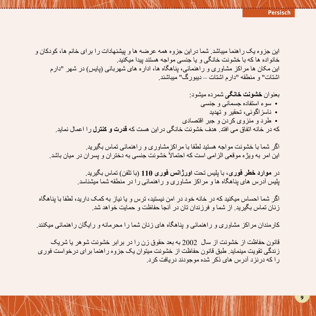این جز وه یک ر اهنما میباشد. شما در این جز وه همه عرضه ها و بیشنهادات ر ا بر ای خانم ها، کودکان و خانواده ها که با خشونت خانگی و یا جنسی مواجه هستند بیدا میکنید. این مکان ها مر اکز مشاو ر ی و ر اهنمائے، بناهگاه ها، ادار ه های شهر بانے (بایس) در شهر "دار م اشتات" و منطقه "دار م اشتات – دببو ر گ" مبیاشند

**بعنو ان <b>خشونت خان**گی شمر ده میشو د: • سوءِ استفاده جسماني و جنسي • ناسز اگوئے، تحقر و تھدید • طرد و منز وي کردن و جبر اقتصادي که در خانه اتفاق مے افتد هدف خشو نت خانگے در ابن هست که **قدرت و کنتر ل**ی ر ا اعمال نماید <sub>.</sub>

اگر ِ شما یا خشونت مواجه هستید لطفا یا مر اکز مشاور ی و ر اهنمائی تماس بگیر بد ِ این امر به و بڑ ہ مو قعی الز امی است که احتمالاً خشو نت جنسی به دختر ان و بسر ان در میان باشد ِ

> در **موارد خطر فوری،** یا بلیس تحت ا**ورژانس فوری 110** (یا تلفن) تماس بگیر بد ِ بلِیس آدرس های بناهگاه ها و مراکز مشاوری و راهنمائی را در منطقه شما میشناسد.

اگر شما احساس میکنید که در خانه خود در امن نیستید، ترس و یا نیاز به کمک دارید، لطفا با یناهگاه زنان تماس بگیرید. از شما و فرزندان تان در آنجا حفاظت و حمایت خواهد شد.

کار مندان مر اکز مشاو ر ی و ر اهنمائے و بناهگاه های ز نان شما ر ا محر مانه و ر ایگان ر اهنمائی میکنند ِ

قانون حفاظت از خشونت از سال 2002 به بعد حقوق زن را در بر ابر خشونت شوهر یا شریک ز ندگی تقویت مینماید ِ طبق قانون حفاظت از ِ خشونت میتوان یک جز و ه ر اهنما بر ای در خو است فور ی ر ا که در نز د آدر س های ذکر شده موجو دند در بافت کر د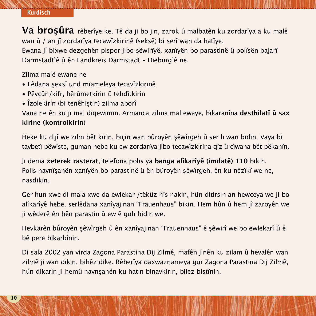## **......................................................................................................................................... Kurdisch**

Va brosûra rêberîye ke. Tê da ji bo jin, zarok û malbatên ku zordarîya a ku malê wan û / an jî zordarîya tecawîzkirinê (seksê) bi serî wan da hatîye. Ewana ji bixwe dezgehên pispor jibo şêwirîyê, xanîyên bo parastinê û polîsên bajarî Darmstadt'ê û ên Landkreis Darmstadt - Dieburg'ê ne.

Zilma malȇ ewane ne

- Lêdana şexsî und miameleya tecavîzkirinê
- Pȇvçȗn/kifr, bȇrȗmetkirin ȗ tehdȋtkirin
- Îzolekirin (bi tenêhiştin) zilma aborî

Vana ne ȇn ku ji mal diqewimin. Armanca zilma mal ewaye, bikaranȋna **desthilatȋ ȗ sax kirine (kontrolkirin**)

Heke ku dijî we zilm bêt kirin, biçin wan bûroyên şêwîrgeh û ser li wan bidin. Vaya bi taybetî pêwîste, guman hebe ku ew zordarîya jibo tecawîzkirina qîz û cîwana bêt pêkanîn.

Ji dema **xeterek rasterat**, telefona polis ya **banga alȋkarȋyȇ (imdatȇ) 110** bikin. Polis navnîsanên xanîyên bo parastinê û ên bûroyên sêwîrgeh, ên ku nêzîkî we ne, nasdikin.

Ger hun xwe di mala xwe da ewlekar /têkûz hîs nakin, hûn ditirsin an hewceya we ji bo alîkarîyê hebe, serlêdana xanîyajinan "Frauenhaus" bikin. Hem hûn û hem jî zaroyên we ji wêderê ên bên parastin û ew ê guh bidin we.

Hevkarên bûroyên şêwîrgeh û ên xanîyajinan "Frauenhaus" ê şêwirî we bo ewlekarî û ê bê pere bikarbînin.

Di sala 2002 yan virda Zagona Parastina Dij Zilmê, mafên jinên ku zilam û hevalên wan zilmê ji wan dıkın, bihêz dike. Rêberîya daxwaznameya gur Zagona Parastina Dij Zilmê, hûn dikarin ji hemû navnşanên ku hatin binavkirin, bilez bistînin.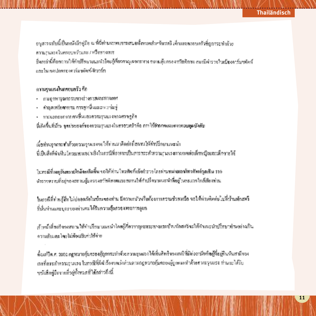#### **Thailändisch**

อนสารฉบับนี้เป็นหนังสีอชู่มือ ณ ที่นี่ท่านจะพบการเสนอทั้งหมดสำหรับเรอริ เด็กและละอบครัวที่ถูกกระทำล้วย ความรแมเรงไนครอบหรือและ / หรือทางเพศ ซึ่งเหล่านี้ที่ออกานให้คำเป็กษาแนะนำไดยให้ยวชาณเจพาะหาง ขอามดับกรองหวัดทิกาย เขาเบิดำรวจในเบียงคาร์มๆตัดก์ อละไนเขอปอดจะออาร์มหลัดที่เดินวร์ก

#### ดวามรุนแรงในกรอบกรัว ก็อ

- การจากกรุณกรรมทางร่างการพันธุรทางเหศ
- คำพูดเหยียดหยาม การดูหนึ่นและการนั้นทู่
- . การแธกรอกจากคนขึ้นและความรุนแรงทางศวษ<u>อ</u>กิจ

ที่เกิดขึ้นที่บ้าน จุดประสงค์ของความรุนแรงในทรงบุครัวคือ การใช้อำนาจและอาจควบคุมบังคับ

เมื่อท่านจากระทำด้วยความรุนแรงขอให้ท่านมาติดต่อที่สถชนให้คำปรึกษาแพะนำ นี้เป็นสิ่งที่ดำเป็นโครเฉพาะอย่างยิ่งในกรณีที่อาจจะเป็นการกระทำความรายเรงทางเหตุต่อเด็กพนิงและเด็กทายใต้

ในกรณีที่เพศอันตรายใกล้ขะเกิดขึ้น ขอไท้ได้วน ใหวศัพท์แข็งตำรวจ โดยค่านหน่ายเอชโทรศัพท์ออเชิน 110 ตำรวบทราบที่อยู่ของสถานผู้มครองสวัตติภาพและสถานให้คำปรึกษาเยนะนำที่อยู่ในละแวกใกล้เลืองท่าน

ในกรณีที่ท่านรู้สึกไม่ปลอดภัยในบ้านของท่าน มีความกลัวหรือต้องการความช่วยเหนือ ขอให้ท่านติดต่อไม่ที่บ้านพักสตรี ที่นั้นท่านและบุครของท่านจะได้รับความกุ้มครองเซะการดูแล

เข้าหน้าที่ขอรังเจงสถานให้จำปรึกบาแนะนำโดยผู้คือวากผูเฉพาะทางและบ้านทักสตวัจะให้คำแนะนำปรึกษาทำนอย่างเป็น ความล้ามเละไดยไม่ต้องเป็นท่าใช้จ่าย

ตั้งแก้ปีค.ศ. 2002 กฎหมายคุ้มครองผู้ถูกกระทำด้วยกวามรุนแวงได้เพิ่มศิทธิของสงนีที่มีต่อสามีหรือผู้ที่อยู่กินวันสามีของ เธอที่อระดำความรุนแรง ในกรฟิฟี่มีทำร้องขอเร็จค่านตามกฎหมายคุ้มควองผู้ถูกตระทำด้วยความรุนแรง ท่านจะได้รับ ทนังสือคู่มือจากที่วยู่ทั้งหมดที่ได้กล่าวถึงนี้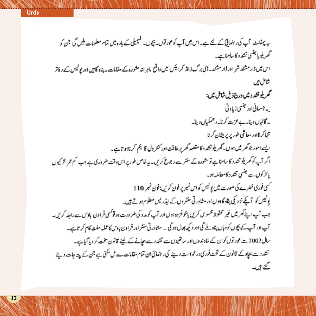یہ پیغلٹ آپ کی رہنما<u>ئی کے لئے ہ</u>ے۔اس میں آپ کوعور توں۔ بیچوں۔ فیمیلی کے بارو میں **تمام معلومات ملیں گی جن ک**و سمھریلو ہاجنسی تشد د کاسامناہے۔ اس ثیما ڈارمشند شر اورڈارمشند۔ڈی پر گیالانڈ کرایٹس میں واقع باہر اندمشوروکے مقابات۔ پناہ گاڑں اور پولیس کے دفاتر شامل ہیں محمر پلوتشد دی<sub>ش در م</sub>ج ذیل شامل میں: - جسمانی اور جنسی زیاد تی - گالیاں ویٹا۔ ے عزت کرنا۔ دھمکیاں دینا۔ تنبأ كرناادر معاشى طور پریریشان کرنا ایسے امور جو گھر میں ہوں گھر پلوتشد د کا متصد گھر پر طاقت اور کنٹر ول قا یم کرناہو تاہے۔ اگر آپ کو گھریلیو تشد د کاسامناہے تومشورہ کے ستشرے رجوع کریں۔ یہ خاص طور پر اس دقت ضر دری ہے جب کم عمر لڑکیوں بالزكول سے جنسی تشد د کامعاملہ ہو۔ گنی فوری خطرے کی صورت بیں پولیس کو اس نمبر پر فون کریں: فون نمبر 110 یولیس کو آیکے نزد کی پٹاہ گاہوں ادر مشاورتی سنشروں کے ایڈرلیں معلوم ہوتے ہیں۔ جب آپ اپنے گھر میں غیر محفوظ محسوس کریں پاخوفزدہ ہوںاور آپ کو مدو کی خرورت ہولو کسی فراون بادس۔ سے راہلہ کریں۔ آپ اور آپ کے پچوں کو دہاں پناہ ملے گی اور دیکھ بھال ہوگی ۔ مشاور ٹی سنشراور فراون ہاوس کاعملہ مفت کام کر تاہے۔ سال2002۔ یہ عورتوں کوان کے خادعدوں اور ساتھیوں سے تشد دے بھانے کے لیئے قانون سخت کر دیا گیاہے۔ تشد دے بھادے قانون کے تحت فوری درخواست دینے کی رہنمائی ان تمام مقامات سے مل سکتی ہے جن کے پیتہ جات دیئے کئے ہیں۔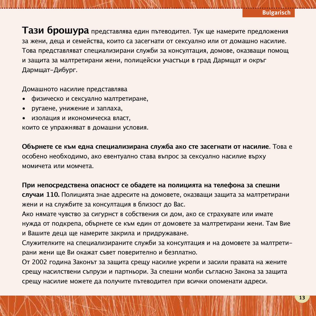**Тази брошура** представлява един пътеводител. Тук ще намерите предложения за жени, деца и семейства, които са засегнати от сексуално или от домашно насилие. Това представляват специализирани служби за консултация, домoвe, оказващи помощ и защита за малтретирани жени, полицейски участъци в град Дармщат и окръг Дармщат-Дибург.

Домашното насилие представлява

- физическо и сексуално малтретиране,
- ругаене, унижение и заплаха,
- изолация и икономическa власт,

които се упражняват в домашни условия.

**Обърнете се към една специализирана служба ако сте засегнати от насилие**. Това е особено необходимо, ако евентуално става въпрос за сексуално насилие върху момичета или момчета.

#### **При непосредствена опасност се обадете на полицията на телефонa за спешни**

**случаи 110.** Полицията знае адресите на домoвeте, оказващи защита за малтретирани жени и на службите за консултация в близост до Вас.

Ако нямате чувство за сигурнст в собствения си дом, ако се страхувате или имате нужда от подкрепа, обърнете се към един от домовете за малтретирани жени. Там Вие и Вашите деца ще намерите закрила и придружаване.

Служителките на специализираните служби за консултация и на домoвeте за малтретирани жени ще Ви окажат съвет поверително и безплатно.

От 2002 година Законът за защита срещу насилие укрепи и засили правата на жените срещу насилствени съпрузи и партньори. За спешни молби съгласно Закона за защита срещу насилие можете да получите пътеводител при всички опоменати адреси.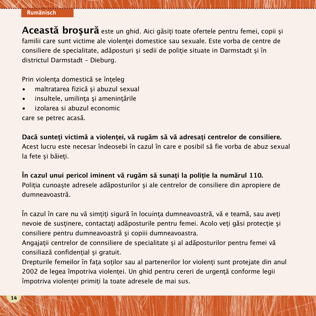## **......................................................................................................................................... Rumänisch**

**Această broşură** este un ghid. Aici găsiţi toate ofertele pentru femei, copii şi familii care sunt victime ale violenţei domestice sau sexuale. Este vorba de centre de consiliere de specialitate, adăposturi şi sedii de poliţie situate in Darmstadt şi în districtul Darmstadt – Dieburg.

Prin violenţa domestică se înţeleg

- maltratarea fizică şi abuzul sexual
- insultele, umilinţa şi ameninţările
- izolarea si abuzul economic

care se petrec acasă.

**Dacă sunteţi victimă a violenţei, vă rugăm să vă adresaţi centrelor de consiliere.** Acest lucru este necesar îndeosebi în cazul în care e posibil să fie vorba de abuz sexual la fete şi băieţi.

**În cazul unui pericol iminent vă rugăm să sunaţi la poliţie la numărul 110.** Poliția cunoaște adresele adăposturilor și ale centrelor de consiliere din apropiere de dumneavoastră.

În cazul în care nu vă simțiți sigură în locuința dumneavoastră, vă e teamă, sau aveți nevoie de sustinere, contactați adăposturile pentru femei. Acolo veți găsi protecție și consiliere pentru dumneavoastră şi copiii dumneavoastra.

Angajații centrelor de connsiliere de specialitate și al adăposturilor pentru femei vă consiliază confidențial și gratuit.

Drepturile femeilor în fata sotilor sau al partenerilor lor violenti sunt protejate din anul 2002 de legea împotriva violentei. Un ghid pentru cereri de urgentă conforme legii împotriva violentei primiti la toate adresele de mai sus.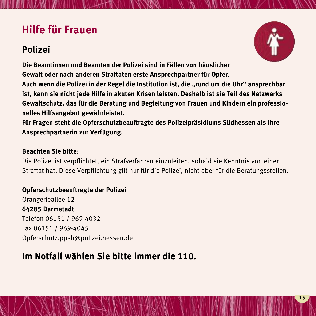## **Hilfe für Frauen**

## **Polizei**



**Die Beamtinnen und Beamten der Polizei sind in Fällen von häuslicher Gewalt oder nach anderen Straftaten erste Ansprechpartner für Opfer.**

**Auch wenn die Polizei in der Regel die Institution ist, die "rund um die Uhr" ansprechbar ist, kann sie nicht jede Hilfe in akuten Krisen leisten. Deshalb ist sie Teil des Netzwerks Gewaltschutz, das für die Beratung und Begleitung von Frauen und Kindern ein professionelles Hilfsangebot gewährleistet.**

**.........................................................................................................................................**

**Für Fragen steht die Opferschutzbeauftragte des Polizeipräsidiums Südhessen als Ihre Ansprechpartnerin zur Verfügung.**

#### **Beachten Sie bitte:**

Die Polizei ist verpflichtet, ein Strafverfahren einzuleiten, sobald sie Kenntnis von einer Straftat hat. Diese Verpflichtung gilt nur für die Polizei, nicht aber für die Beratungsstellen.

#### **Opferschutzbeauftragte der Polizei**

Orangerieallee 12 **64285 Darmstadt** Telefon 06151 / 969-4032 Fax 06151 / 969-4045 Opferschutz.ppsh@polizei.hessen.de

### **Im Notfall wählen Sie bitte immer die 110.**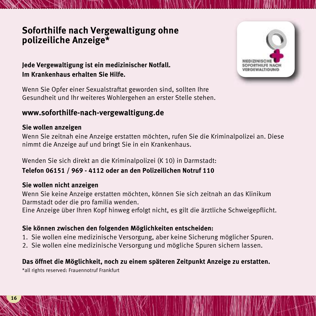### **Soforthilfe nach Vergewaltigung ohne polizeiliche Anzeige\***

#### **Jede Vergewaltigung ist ein medizinischer Notfall. Im Krankenhaus erhalten Sie Hilfe.**

Wenn Sie Opfer einer Sexualstraftat geworden sind, sollten Ihre Gesundheit und Ihr weiteres Wohlergehen an erster Stelle stehen.

### **www.soforthilfe-nach-vergewaltigung.de**

#### **Sie wollen anzeigen**

Wenn Sie zeitnah eine Anzeige erstatten möchten, rufen Sie die Kriminalpolizei an. Diese nimmt die Anzeige auf und bringt Sie in ein Krankenhaus.

**.........................................................................................................................................**

Wenden Sie sich direkt an die Kriminalpolizei (K 10) in Darmstadt:

#### **Telefon 06151 / 969 - 4112 oder an den Polizeilichen Notruf 110**

#### **Sie wollen nicht anzeigen**

Wenn Sie keine Anzeige erstatten möchten, können Sie sich zeitnah an das Klinikum Darmstadt oder die pro familia wenden.

Eine Anzeige über Ihren Kopf hinweg erfolgt nicht, es gilt die ärztliche Schweigepflicht.

#### **Sie können zwischen den folgenden Möglichkeiten entscheiden:**

- 1. Sie wollen eine medizinische Versorgung, aber keine Sicherung möglicher Spuren.
- 2. Sie wollen eine medizinische Versorgung und mögliche Spuren sichern lassen.

#### **Das öffnet die Möglichkeit, noch zu einem späteren Zeitpunkt Anzeige zu erstatten.**

\*all rights reserved: Frauennotruf Frankfurt

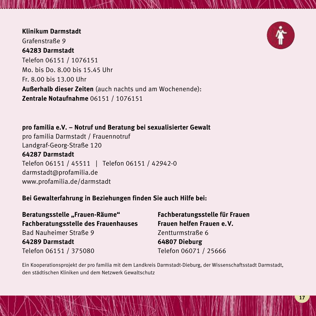#### **Klinikum Darmstadt** Grafenstraße 9 **64283 Darmstadt** Telefon 06151 / 1076151 Mo. bis Do. 8.00 bis 15.45 Uhr Fr. 8.00 bis 13.00 Uhr **Außerhalb dieser Zeiten** (auch nachts und am Wochenende): **Zentrale Notaufnahme** 06151 / 1076151

**pro familia e.V. – Notruf und Beratung bei sexualisierter Gewalt** pro familia Darmstadt / Frauennotruf Landgraf-Georg-Straße 120 **64287 Darmstadt** Telefon 06151 / 45511 | Telefon 06151 / 42942-0 darmstadt@profamilia.de www.profamilia.de/darmstadt

#### **Bei Gewalterfahrung in Beziehungen finden Sie auch Hilfe bei:**

**Beratungsstelle "Frauen-Räume" Fachberatungsstelle für Frauen Fachberatungsstelle des Frauenhauses Frauen helfen Frauen e.V.** Bad Nauheimer Straße 9 Zentturmstraße 6 **64289 Darmstadt 64807 Dieburg** Telefon 06151 / 375080 Telefon 06071 / 25666

Ein Kooperationsprojekt der pro familia mit dem Landkreis Darmstadt-Dieburg, der Wissenschaftsstadt Darmstadt, den städtischen Kliniken und dem Netzwerk Gewaltschutz

WINTON AN ARRAY AND TRIAL TO THE RELEASED OF A STRING OF A STRING OF THE VILLE WAS ARRANGED TO A LOCAL TO A LOCAL TRIAL TO A LOCAL THREE OF A LOCAL TO A LOCAL THREE OF A LOCAL TO A LOCAL THREE OF A LOCAL TO A LOCAL THREE O

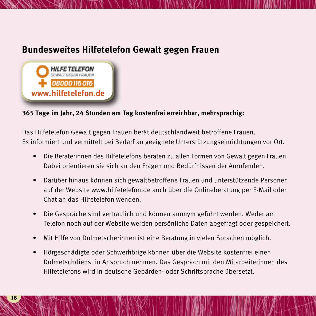## **Bundesweites Hilfetelefon Gewalt gegen Frauen**



#### **365 Tage im Jahr, 24 Stunden am Tag kostenfrei erreichbar, mehrsprachig:**

Das Hilfetelefon Gewalt gegen Frauen berät deutschlandweit betroffene Frauen. Es informiert und vermittelt bei Bedarf an geeignete Unterstützungseinrichtungen vor Ort.

- Die Beraterinnen des Hilfetelefons beraten zu allen Formen von Gewalt gegen Frauen. Dabei orientieren sie sich an den Fragen und Bedürfnissen der Anrufenden.
- Darüber hinaus können sich gewaltbetroffene Frauen und unterstützende Personen auf der Website www.hilfetelefon.de auch über die Onlineberatung per E-Mail oder Chat an das Hilfetelefon wenden.
- Die Gespräche sind vertraulich und können anonym geführt werden. Weder am Telefon noch auf der Website werden persönliche Daten abgefragt oder gespeichert.
- Mit Hilfe von Dolmetscherinnen ist eine Beratung in vielen Sprachen möglich.
- Hörgeschädigte oder Schwerhörige können über die Website kostenfrei einen Dolmetschdienst in Anspruch nehmen. Das Gespräch mit den Mitarbeiterinnen des Hilfetelefons wird in deutsche Gebärden- oder Schriftsprache übersetzt.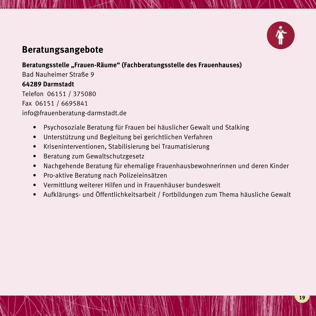

## **Beratungsangebote**

#### **Beratungsstelle "Frauen-Räume" (Fachberatungsstelle des Frauenhauses)**

Bad Nauheimer Straße 9 **64289 Darmstadt** Telefon 06151 / 375080 Fax 06151 / 6695841

info@frauenberatung-darmstadt.de

- Psychosoziale Beratung für Frauen bei häuslicher Gewalt und Stalking
- Unterstützung und Begleitung bei gerichtlichen Verfahren
- Kriseninterventionen, Stabilisierung bei Traumatisierung
- Beratung zum Gewaltschutzgesetz
- Nachgehende Beratung für ehemalige Frauenhausbewohnerinnen und deren Kinder

- Pro-aktive Beratung nach Polizeieinsätzen
- Vermittlung weiterer Hilfen und in Frauenhäuser bundesweit
- Aufklärungs- und Öffentlichkeitsarbeit / Fortbildungen zum Thema häusliche Gewalt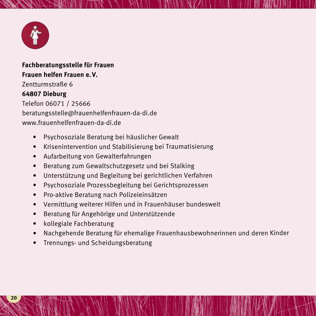

#### **Fachberatungsstelle für Frauen Frauen helfen Frauen e.V.** Zentturmstraße 6 **64807 Dieburg** Telefon 06071 / 25666 beratungsstelle@frauenhelfenfrauen-da-di.de www.frauenhelfenfrauen-da-di.de

- Psychosoziale Beratung bei häuslicher Gewalt
- Krisenintervention und Stabilisierung bei Traumatisierung
- Aufarbeitung von Gewalterfahrungen
- •Beratung zum Gewaltschutzgesetz und bei Stalking
- •Unterstützung und Begleitung bei gerichtlichen Verfahren
- •Psychosoziale Prozessbegleitung bei Gerichtsprozessen
- •Pro-aktive Beratung nach Polizeieinsätzen
- Vermittlung weiterer Hilfen und in Frauenhäuser bundesweit
- •Beratung für Angehörige und Unterstützende
- •kollegiale Fachberatung
- •Nachgehende Beratung für ehemalige Frauenhausbewohnerinnen und deren Kinder

**.........................................................................................................................................**

•Trennungs- und Scheidungsberatung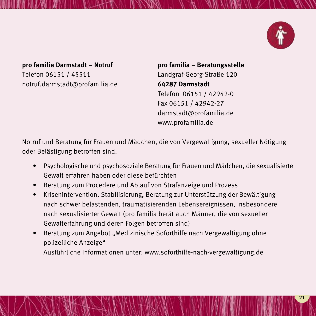

#### **pro familia Darmstadt – Notruf pro familia – Beratungsstelle** Telefon 06151 / 45511 Landgraf-Georg-Straße 120 notruf.darmstadt@profamilia.de **64287 Darmstadt**

Telefon 06151 / 42942-0 Fax 06151 / 42942-27 darmstadt@profamilia.de www.profamilia.de

Notruf und Beratung für Frauen und Mädchen, die von Vergewaltigung, sexueller Nötigung oder Belästigung betroffen sind.

- Psychologische und psychosoziale Beratung für Frauen und Mädchen, die sexualisierte Gewalt erfahren haben oder diese befürchten
- Beratung zum Procedere und Ablauf von Strafanzeige und Prozess
- Krisenintervention, Stabilisierung, Beratung zur Unterstützung der Bewältigung nach schwer belastenden, traumatisierenden Lebensereignissen, insbesondere nach sexualisierter Gewalt (pro familia berät auch Männer, die von sexueller Gewalterfahrung und deren Folgen betroffen sind)
- Beratung zum Angebot "Medizinische Soforthilfe nach Vergewaltigung ohne polizeiliche Anzeige" Ausführliche Informationen unter: www.soforthilfe-nach-vergewaltigung.de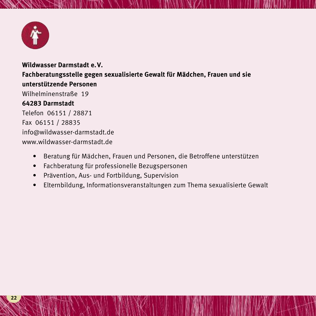

**Wildwasser Darmstadt e.V. Fachberatungsstelle gegen sexualisierte Gewalt für Mädchen, Frauen und sie unterstützende Personen** Wilhelminenstraße 19 **64283 Darmstadt** Telefon 06151 / 28871 Fax 06151 / 28835 info@wildwasser-darmstadt.de www.wildwasser-darmstadt.de

- Beratung für Mädchen, Frauen und Personen, die Betroffene unterstützen
- Fachberatung für professionelle Bezugspersonen
- Prävention, Aus- und Fortbildung, Supervision
- Elternbildung, Informationsveranstaltungen zum Thema sexualisierte Gewalt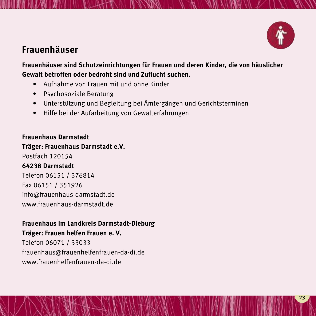

### **Frauenhäuser**

**Frauenhäuser sind Schutzeinrichtungen für Frauen und deren Kinder, die von häuslicher Gewalt betroffen oder bedroht sind und Zuflucht suchen.**

**.........................................................................................................................................**

- Aufnahme von Frauen mit und ohne Kinder
- Psychosoziale Beratung
- Unterstützung und Begleitung bei Ämtergängen und Gerichtsterminen
- Hilfe bei der Aufarbeitung von Gewalterfahrungen

#### **Frauenhaus Darmstadt**

#### **Träger: Frauenhaus Darmstadt e.V.**

Postfach 120154

#### **64238 Darmstadt**

Telefon 06151 / 376814 Fax 06151 / 351926 info@frauenhaus-darmstadt.de www.frauenhaus-darmstadt.de

#### **Frauenhaus im Landkreis Darmstadt-Dieburg**

#### **Träger: Frauen helfen Frauen e. V.**

Telefon 06071 / 33033 frauenhaus@frauenhelfenfrauen-da-di.de www.frauenhelfenfrauen-da-di.de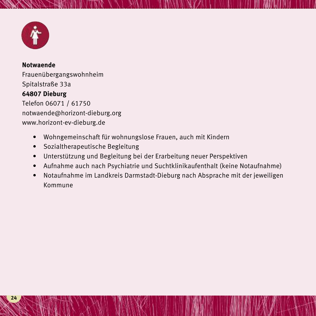

#### **Notwaende** Frauenübergangswohnheim Spitalstraße 33a **64807 Dieburg** Telefon 06071 / 61750 notwaende@horizont-dieburg.org www.horizont-ev-dieburg.de

- Wohngemeinschaft für wohnungslose Frauen, auch mit Kindern
- Sozialtherapeutische Begleitung
- Unterstützung und Begleitung bei der Erarbeitung neuer Perspektiven
- Aufnahme auch nach Psychiatrie und Suchtklinikaufenthalt (keine Notaufnahme)

**.........................................................................................................................................**

• Notaufnahme im Landkreis Darmstadt-Dieburg nach Absprache mit der jeweiligen Kommune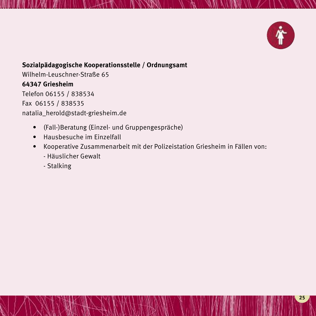

#### **Sozialpädagogische Kooperationsstelle / Ordnungsamt**

Wilhelm-Leuschner-Straße 65 **64347 Griesheim** Telefon 06155 / 838534 Fax 06155 / 838535 natalia\_herold@stadt-griesheim.de

- (Fall-)Beratung (Einzel- und Gruppengespräche)
- Hausbesuche im Einzelfall
- Kooperative Zusammenarbeit mit der Polizeistation Griesheim in Fällen von:

- Häuslicher Gewalt
- Stalking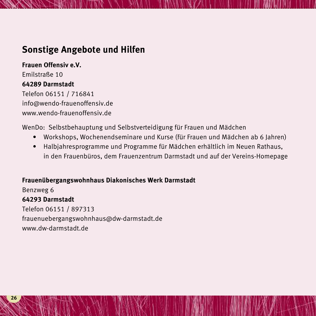### **Sonstige Angebote und Hilfen**

**Frauen Offensiv e.V.** Emilstraße 10 **64289 Darmstadt** Telefon 06151 / 716841 info@wendo-frauenoffensiv.de www.wendo-frauenoffensiv.de

WenDo: Selbstbehauptung und Selbstverteidigung für Frauen und Mädchen

• Workshops, Wochenendseminare und Kurse (für Frauen und Mädchen ab 6 Jahren)

**.........................................................................................................................................**

• Halbjahresprogramme und Programme für Mädchen erhältlich im Neuen Rathaus, in den Frauenbüros, dem Frauenzentrum Darmstadt und auf der Vereins-Homepage

#### **Frauenübergangswohnhaus Diakonisches Werk Darmstadt**

Benzweg 6 **64293 Darmstadt** Telefon 06151 / 897313 frauenuebergangswohnhaus@dw-darmstadt.de www.dw-darmstadt.de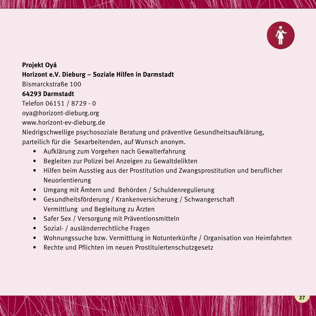

**Projekt Oyá Horizont e.V. Dieburg – Soziale Hilfen in Darmstadt** Bismarckstraße 100 **64293 Darmstadt** Telefon 06151 / 8729 - 0 oya@horizont-dieburg.org www.horizont-ev-dieburg.de

Niedrigschwellige psychosoziale Beratung und präventive Gesundheitsaufklärung, parteilich für die Sexarbeitenden, auf Wunsch anonym.

- Aufklärung zum Vorgehen nach Gewalterfahrung
- Begleiten zur Polizei bei Anzeigen zu Gewaltdelikten
- Hilfen beim Ausstieg aus der Prostitution und Zwangsprostitution und beruflicher Neuorientierung

- Umgang mit Ämtern und Behörden / Schuldenregulierung
- Gesundheitsförderung / Krankenversicherung / Schwangerschaft Vermittlung und Begleitung zu Ärzten
- Safer Sex / Versorgung mit Präventionsmitteln
- Sozial- / ausländerrechtliche Fragen
- Wohnungssuche bzw. Vermittlung in Notunterkünfte / Organisation von Heimfahrten
- Rechte und Pflichten im neuen Prostituiertenschutzgesetz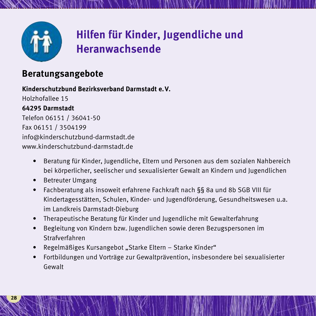

## **Hilfen für Kinder, Jugendliche und Heranwachsende**

**.........................................................................................................................................**

### **Beratungsangebote**

#### **Kinderschutzbund Bezirksverband Darmstadt e.V.**

Holzhofallee 15 **64295 Darmstadt** Telefon 06151 / 36041-50 Fax 06151 / 3504199 info@kinderschutzbund-darmstadt.de www.kinderschutzbund-darmstadt.de

- Beratung für Kinder, Jugendliche, Eltern und Personen aus dem sozialen Nahbereich bei körperlicher, seelischer und sexualisierter Gewalt an Kindern und Jugendlichen
- Betreuter Umgang
- Fachberatung als insoweit erfahrene Fachkraft nach §§ 8a und 8b SGB VIII für Kindertagesstätten, Schulen, Kinder- und Jugendförderung, Gesundheitswesen u.a. im Landkreis Darmstadt-Dieburg
- Therapeutische Beratung für Kinder und Jugendliche mit Gewalterfahrung
- Begleitung von Kindern bzw. Jugendlichen sowie deren Bezugspersonen im Strafverfahren
- Regelmäßiges Kursangebot "Starke Eltern Starke Kinder"
- Fortbildungen und Vorträge zur Gewaltprävention, insbesondere bei sexualisierter Gewalt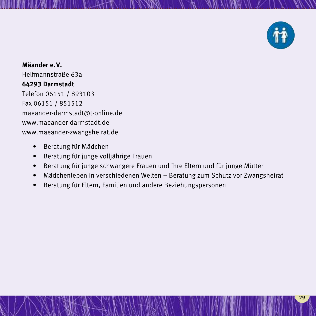

**Mäander e.V.** Helfmannstraße 63a **64293 Darmstadt** Telefon 06151 / 893103 Fax 06151 / 851512 maeander-darmstadt@t-online.de www.maeander-darmstadt.de www.maeander-zwangsheirat.de

- Beratung für Mädchen
- Beratung für junge volljährige Frauen
- Beratung für junge schwangere Frauen und ihre Eltern und für junge Mütter
- Mädchenleben in verschiedenen Welten Beratung zum Schutz vor Zwangsheirat

**.........................................................................................................................................**

• Beratung für Eltern, Familien und andere Beziehungspersonen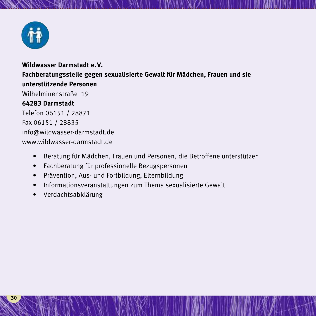

#### **Wildwasser Darmstadt e.V. Fachberatungsstelle gegen sexualisierte Gewalt für Mädchen, Frauen und sie unterstützende Personen** Wilhelminenstraße 19 **64283 Darmstadt** Telefon 06151 / 28871 Fax 06151 / 28835 info@wildwasser-darmstadt.de www.wildwasser-darmstadt.de

- Beratung für Mädchen, Frauen und Personen, die Betroffene unterstützen
- Fachberatung für professionelle Bezugspersonen
- Prävention, Aus- und Fortbildung, Elternbildung
- Informationsveranstaltungen zum Thema sexualisierte Gewalt
- Verdachtsabklärung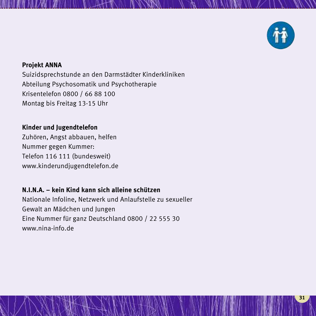

#### **Projekt ANNA**

Suizidsprechstunde an den Darmstädter Kinderkliniken Abteilung Psychosomatik und Psychotherapie Krisentelefon 0800 / 66 88 100 Montag bis Freitag 13-15 Uhr

**.........................................................................................................................................**

#### **Kinder und Jugendtelefon**

Zuhören, Angst abbauen, helfen Nummer gegen Kummer: Telefon 116 111 (bundesweit) www.kinderundjugendtelefon.de

#### **N.I.N.A. – kein Kind kann sich alleine schützen**

Nationale Infoline, Netzwerk und Anlaufstelle zu sexueller Gewalt an Mädchen und Jungen Eine Nummer für ganz Deutschland 0800 / 22 555 30 www.nina-info.de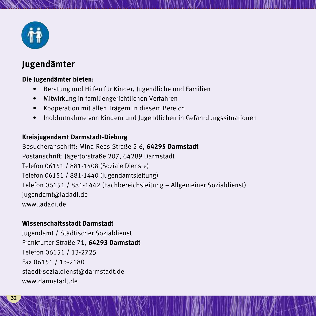

## **Jugendämter**

#### **Die Jugendämter bieten:**

- Beratung und Hilfen für Kinder, Jugendliche und Familien
- Mitwirkung in familiengerichtlichen Verfahren
- Kooperation mit allen Trägern in diesem Bereich
- Inobhutnahme von Kindern und Jugendlichen in Gefährdungssituationen

**.........................................................................................................................................**

#### **Kreisjugendamt Darmstadt-Dieburg**

Besucheranschrift: Mina-Rees-Straße 2-6, **64295 Darmstadt** Postanschrift: Jägertorstraße 207, 64289 Darmstadt Telefon 06151 / 881-1408 (Soziale Dienste) Telefon 06151 / 881-1440 (Jugendamtsleitung) Telefon 06151 / 881-1442 (Fachbereichsleitung – Allgemeiner Sozialdienst) jugendamt@ladadi.de www.ladadi.de

#### **Wissenschaftsstadt Darmstadt**

Jugendamt / Städtischer Sozialdienst Frankfurter Straße 71, **64293 Darmstadt** Telefon 06151 / 13-2725 Fax 06151 / 13-2180 staedt-sozialdienst@darmstadt.de www.darmstadt.de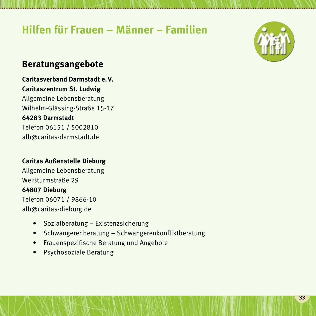## **Hilfen für Frauen – Männer – Familien**

**.........................................................................................................................................**



### **Beratungsangebote**

**Caritasverband Darmstadt e.V. Caritaszentrum St. Ludwig** Allgemeine Lebensberatung Wilhelm-Glässing-Straße 15-17 **64283 Darmstadt** Telefon 06151 / 5002810 alb@caritas-darmstadt.de

#### **Caritas Außenstelle Dieburg**

Allgemeine Lebensberatung Weißturmstraße 29 **64807 Dieburg** Telefon 06071 / 9866-10 alb@caritas-dieburg.de

- Sozialberatung Existenzsicherung
- Schwangerenberatung Schwangerenkonfliktberatung
- Frauenspezifische Beratung und Angebote
- Psychosoziale Beratung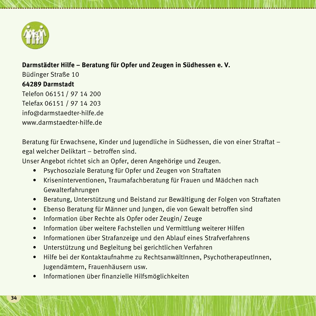

#### **Darmstädter Hilfe – Beratung für Opfer und Zeugen in Südhessen e. V.**

Büdinger Straße 10 **64289 Darmstadt** Telefon 06151/ 97 14 200 Telefax 06151 / 97 14 203 info@darmstaedter-hilfe.de www.darmstaedter-hilfe.de

Beratung für Erwachsene, Kinder und Jugendliche in Südhessen, die von einer Straftat – egal welcher Deliktart – betroffen sind.

**.........................................................................................................................................**

Unser Angebot richtet sich an Opfer, deren Angehörige und Zeugen.

- Psychosoziale Beratung für Opfer und Zeugen von Straftaten
- Kriseninterventionen, Traumafachberatung für Frauen und Mädchen nach Gewalterfahrungen
- Beratung, Unterstützung und Beistand zur Bewältigung der Folgen von Straftaten
- Ebenso Beratung für Männer und Jungen, die von Gewalt betroffen sind
- Information über Rechte als Opfer oder Zeugin/ Zeuge
- Information über weitere Fachstellen und Vermittlung weiterer Hilfen
- Informationen über Strafanzeige und den Ablauf eines Strafverfahrens
- Unterstützung und Begleitung bei gerichtlichen Verfahren
- Hilfe bei der Kontaktaufnahme zu RechtsanwältInnen, PsychotherapeutInnen, Jugendämtern, Frauenhäusern usw.
- Informationen über finanzielle Hilfsmöglichkeiten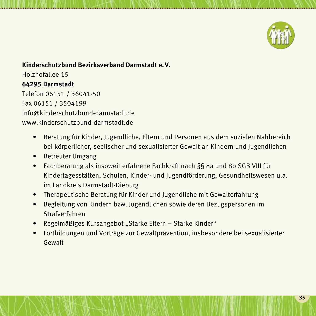

#### **Kinderschutzbund Bezirksverband Darmstadt e.V.**

Holzhofallee 15 **64295 Darmstadt** Telefon 06151 / 36041-50 Fax 06151 / 3504199 info@kinderschutzbund-darmstadt.de www.kinderschutzbund-darmstadt.de

> • Beratung für Kinder, Jugendliche, Eltern und Personen aus dem sozialen Nahbereich bei körperlicher, seelischer und sexualisierter Gewalt an Kindern und Jugendlichen

- Betreuter Umgang
- Fachberatung als insoweit erfahrene Fachkraft nach §§ 8a und 8b SGB VIII für Kindertagesstätten, Schulen, Kinder- und Jugendförderung, Gesundheitswesen u.a. im Landkreis Darmstadt-Dieburg
- Therapeutische Beratung für Kinder und Jugendliche mit Gewalterfahrung
- Begleitung von Kindern bzw. Jugendlichen sowie deren Bezugspersonen im Strafverfahren
- Regelmäßiges Kursangebot "Starke Eltern Starke Kinder"
- Fortbildungen und Vorträge zur Gewaltprävention, insbesondere bei sexualisierter Gewalt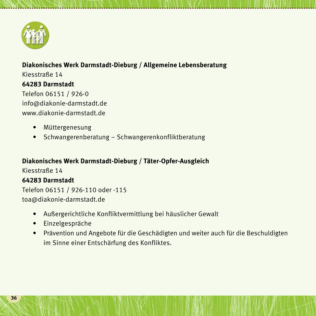

#### **Diakonisches Werk Darmstadt-Dieburg / Allgemeine Lebensberatung**

**.........................................................................................................................................**

Kiesstraße 14 **64283 Darmstadt** Telefon 06151 / 926-0 info@diakonie-darmstadt.de www.diakonie-darmstadt.de

- Müttergenesung
- Schwangerenberatung Schwangerenkonfliktberatung

#### **Diakonisches Werk Darmstadt-Dieburg / Täter-Opfer-Ausgleich**

Kiesstraße 14

#### **64283 Darmstadt**

Telefon 06151 / 926-110 oder -115 toa@diakonie-darmstadt.de

- Außergerichtliche Konfliktvermittlung bei häuslicher Gewalt
- Einzelgespräche
- Prävention und Angebote für die Geschädigten und weiter auch für die Beschuldigten im Sinne einer Entschärfung des Konfliktes.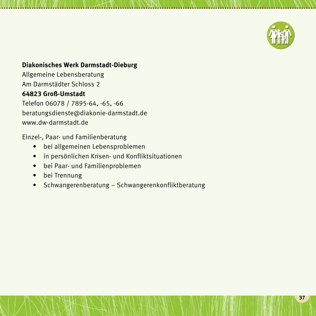

#### **Diakonisches Werk Darmstadt-Dieburg**

Allgemeine Lebensberatung Am Darmstädter Schloss 2 **64823 Groß-Umstadt** Telefon 06078 / 7895-64, -65, -66

beratungsdienste@diakonie-darmstadt.de www.dw-darmstadt.de

Einzel-, Paar- und Familienberatung

- bei allgemeinen Lebensproblemen
- in persönlichen Krisen- und Konfliktsituationen
- bei Paar- und Familienproblemen
- bei Trennung
- Schwangerenberatung Schwangerenkonfliktberatung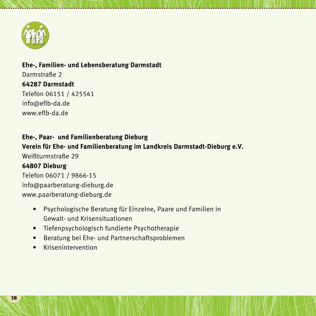

### **Ehe-, Familien- und Lebensberatung Darmstadt** Darmstraße 2 **64287 Darmstadt** Telefon 06151 / 425541 info@eflb-da.de www.eflb-da.de

**Ehe-, Paar- und Familienberatung Dieburg Verein für Ehe- und Familienberatung im Landkreis Darmstadt-Dieburg e.V.** Weißturmstraße 29 **64807 Dieburg** Telefon 06071 / 9866-15 info@paarberatung-dieburg.de www.paarberatung-dieburg.de

- Psychologische Beratung für Einzelne, Paare und Familien in Gewalt- und Krisensituationen
- Tiefenpsychologisch fundierte Psychotherapie
- Beratung bei Ehe- und Partnerschaftsproblemen
- Krisenintervention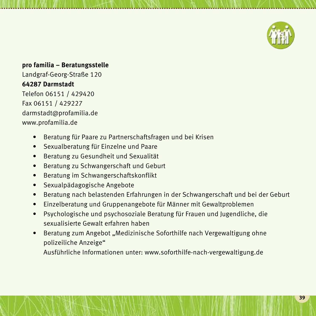

#### **pro familia – Beratungsstelle**

Landgraf-Georg-Straße 120 **64287 Darmstadt** Telefon 06151 / 429420 Fax 06151 / 429227 darmstadt@profamilia.de www.profamilia.de

- Beratung für Paare zu Partnerschaftsfragen und bei Krisen
- Sexualberatung für Einzelne und Paare
- Beratung zu Gesundheit und Sexualität
- Beratung zu Schwangerschaft und Geburt
- Beratung im Schwangerschaftskonflikt
- Sexualpädagogische Angebote
- Beratung nach belastenden Erfahrungen in der Schwangerschaft und bei der Geburt

**.........................................................................................................................................**

- Einzelberatung und Gruppenangebote für Männer mit Gewaltproblemen
- Psychologische und psychosoziale Beratung für Frauen und Jugendliche, die sexualisierte Gewalt erfahren haben
- Beratung zum Angebot "Medizinische Soforthilfe nach Vergewaltigung ohne polizeiliche Anzeige" Ausführliche Informationen unter: www.soforthilfe-nach-vergewaltigung.de

**39**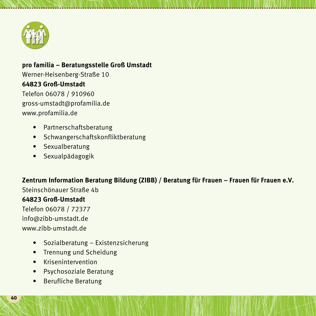

### **pro familia – Beratungsstelle Groß Umstadt** Werner-Heisenberg-Straße 10 **64823 Groß-Umstadt** Telefon 06078 / 910960 gross-umstadt@profamilia.de

www.profamilia.de

- Partnerschaftsberatung
- Schwangerschaftskonfliktberatung
- Sexualberatung
- Sexualpädagogik

#### **Zentrum Information Beratung Bildung (ZIBB) / Beratung für Frauen – Frauen für Frauen e.V.**

**.........................................................................................................................................**

Steinschönauer Straße 4b

#### **64823 Groß-Umstadt**

Telefon 06078 / 72377 info@zibb-umstadt.de www.zibb-umstadt.de

- Sozialberatung Existenzsicherung
- Trennung und Scheidung
- Krisenintervention
- Psychosoziale Beratung
- Berufliche Beratung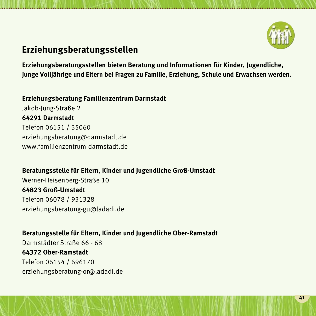

## **Erziehungsberatungsstellen**

**Erziehungsberatungsstellen bieten Beratung und Informationen für Kinder, Jugendliche, junge Volljährige und Eltern bei Fragen zu Familie, Erziehung, Schule und Erwachsen werden.**

**.........................................................................................................................................**

**Erziehungsberatung Familienzentrum Darmstadt** Jakob-Jung-Straße 2 **64291 Darmstadt** Telefon 06151 / 35060 erziehungsberatung@darmstadt.de www.familienzentrum-darmstadt.de

**Beratungsstelle für Eltern, Kinder und Jugendliche Groß-Umstadt**

Werner-Heisenberg-Straße 10 **64823 Groß-Umstadt** Telefon 06078 / 931328 erziehungsberatung-gu@ladadi.de

**Beratungsstelle für Eltern, Kinder und Jugendliche Ober-Ramstadt** Darmstädter Straße 66 - 68 **64372 Ober-Ramstadt** Telefon 06154 / 696170 erziehungsberatung-or@ladadi.de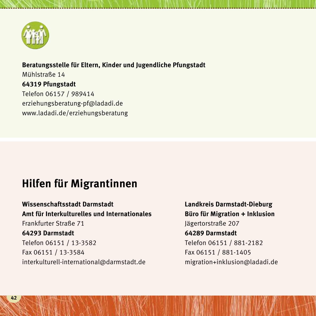

**Beratungsstelle für Eltern, Kinder und Jugendliche Pfungstadt** Mühlstraße 14 **64319 Pfungstadt** Telefon 06157 / 989414 erziehungsberatung-pf@ladadi.de www.ladadi.de/erziehungsberatung

**.........................................................................................................................................**

## **Hilfen für Migrantinnen**

**Wissenschaftsstadt Darmstadt Landkreis Darmstadt-Dieburg Amt für Interkulturelles und Internationales Büro für Migration + Inklusion** Frankfurter Straße 71 Jägertorstraße 207 **64293 Darmstadt 64289 Darmstadt** Telefon 06151 / 13-3582 Telefon 06151 / 881-2182 Fax 06151 / 13-3584 Fax 06151 / 881-1405 interkulturell-international@darmstadt.de migration+inklusion@ladadi.de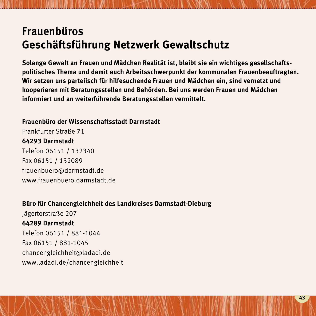## **Frauenbüros Geschäftsführung Netzwerk Gewaltschutz**

**Solange Gewalt an Frauen und Mädchen Realität ist, bleibt sie ein wichtiges gesellschaftspolitisches Thema und damit auch Arbeitsschwerpunkt der kommunalen Frauenbeauftragten. Wir setzen uns parteiisch für hilfesuchende Frauen und Mädchen ein, sind vernetzt und kooperieren mit Beratungsstellen und Behörden. Bei uns werden Frauen und Mädchen informiert und an weiterfü hrende Beratungsstellen vermittelt.**

**.........................................................................................................................................**

**Frauenbüro der Wissenschaftsstadt Darmstadt**

Frankfurter Straße 71 **64293 Darmstadt** Telefon 06151 / 132340 Fax 06151 / 132089 frauenbuero@darmstadt.de www.frauenbuero.darmstadt.de

#### **Büro für Chancengleichheit des Landkreises Darmstadt-Dieburg**

Jägertorstraße 207 **64289 Darmstadt** Telefon 06151 / 881-1044 Fax 06151 / 881-1045 chancengleichheit@ladadi.de www.ladadi.de/chancengleichheit